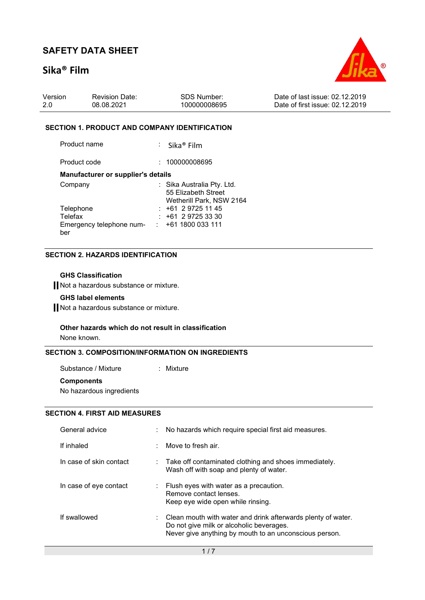## Sika® Film



| Version | <b>Revision Date:</b> | SDS Number:  | Date of last issue: 02.12.2019  |
|---------|-----------------------|--------------|---------------------------------|
| -2.0    | 08.08.2021            | 100000008695 | Date of first issue: 02.12.2019 |

#### SECTION 1. PRODUCT AND COMPANY IDENTIFICATION

Product name : Sika® Film

Product code : 100000008695

#### Manufacturer or supplier's details

| Company                  | : Sika Australia Pty. Ltd. |
|--------------------------|----------------------------|
|                          | 55 Elizabeth Street        |
|                          | Wetherill Park, NSW 2164   |
| Telephone                | $: +61297251145$           |
| Telefax                  | $: +61297253330$           |
| Emergency telephone num- | $\div$ +61 1800 033 111    |
| ber                      |                            |

### SECTION 2. HAZARDS IDENTIFICATION

### GHS Classification

Not a hazardous substance or mixture.

### GHS label elements

Not a hazardous substance or mixture.

#### Other hazards which do not result in classification

None known.

### SECTION 3. COMPOSITION/INFORMATION ON INGREDIENTS

Substance / Mixture : Mixture **Components** 

No hazardous ingredients

### SECTION 4. FIRST AID MEASURES

| General advice          | : No hazards which require special first aid measures.                                                                                                                          |
|-------------------------|---------------------------------------------------------------------------------------------------------------------------------------------------------------------------------|
| If inhaled              | $\therefore$ Move to fresh air.                                                                                                                                                 |
| In case of skin contact | $\therefore$ Take off contaminated clothing and shoes immediately.<br>Wash off with soap and plenty of water.                                                                   |
| In case of eye contact  | $\therefore$ Flush eyes with water as a precaution.<br>Remove contact lenses.<br>Keep eye wide open while rinsing.                                                              |
| If swallowed            | $\therefore$ Clean mouth with water and drink afterwards plenty of water.<br>Do not give milk or alcoholic beverages.<br>Never give anything by mouth to an unconscious person. |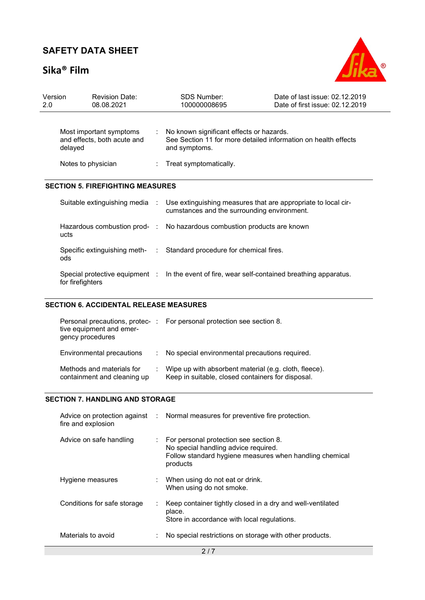## Sika® Film



| Version<br>2.0 | <b>Revision Date:</b><br>08.08.2021                               | <b>SDS Number:</b><br>100000008695                                                                                            | Date of last issue: 02.12.2019<br>Date of first issue: 02.12.2019 |
|----------------|-------------------------------------------------------------------|-------------------------------------------------------------------------------------------------------------------------------|-------------------------------------------------------------------|
|                | Most important symptoms<br>and effects, both acute and<br>delayed | : No known significant effects or hazards.<br>See Section 11 for more detailed information on health effects<br>and symptoms. |                                                                   |
|                | Notes to physician                                                | $:$ Treat symptomatically.                                                                                                    |                                                                   |
|                | <b>SECTION 5. FIREFIGHTING MEASURES</b>                           |                                                                                                                               |                                                                   |
|                | Suitable extinguishing media :                                    | Use extinguishing measures that are appropriate to local cir-<br>cumstances and the surrounding environment.                  |                                                                   |
|                | ucts                                                              | Hazardous combustion prod- : No hazardous combustion products are known                                                       |                                                                   |
|                | ods                                                               | Specific extinguishing meth- : Standard procedure for chemical fires.                                                         |                                                                   |
|                | Special protective equipment :                                    | In the event of fire, wear self-contained breathing apparatus.                                                                |                                                                   |

### SECTION 6. ACCIDENTAL RELEASE MEASURES

for firefighters

| tive equipment and emer-<br>gency procedures             |    | Personal precautions, protec-: For personal protection see section 8.                                      |
|----------------------------------------------------------|----|------------------------------------------------------------------------------------------------------------|
| Environmental precautions                                | ÷. | No special environmental precautions required.                                                             |
| Methods and materials for<br>containment and cleaning up |    | Wipe up with absorbent material (e.g. cloth, fleece).<br>Keep in suitable, closed containers for disposal. |

### SECTION 7. HANDLING AND STORAGE

| fire and explosion          | Advice on protection against : Normal measures for preventive fire protection.                                                                        |
|-----------------------------|-------------------------------------------------------------------------------------------------------------------------------------------------------|
| Advice on safe handling     | For personal protection see section 8.<br>No special handling advice required.<br>Follow standard hygiene measures when handling chemical<br>products |
| Hygiene measures            | When using do not eat or drink.<br>When using do not smoke.                                                                                           |
| Conditions for safe storage | Keep container tightly closed in a dry and well-ventilated<br>place.<br>Store in accordance with local regulations.                                   |
| Materials to avoid          | No special restrictions on storage with other products.                                                                                               |
|                             | 2/7                                                                                                                                                   |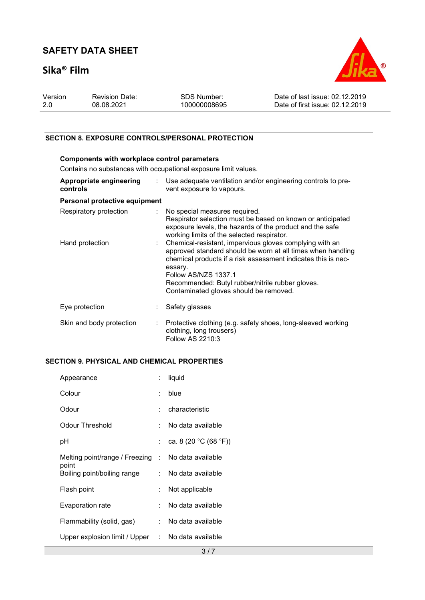## Sika® Film



| Version | <b>Revision Date:</b> | SDS Number:  | Date of last issue: 02.12.2019  |
|---------|-----------------------|--------------|---------------------------------|
|         | 08.08.2021            | 100000008695 | Date of first issue: 02.12.2019 |
|         |                       |              |                                 |

### SECTION 8. EXPOSURE CONTROLS/PERSONAL PROTECTION

| <b>Components with workplace control parameters</b><br>Contains no substances with occupational exposure limit values. |                              |                                                                                                                                                                                                                                                                                                                                 |  |  |  |
|------------------------------------------------------------------------------------------------------------------------|------------------------------|---------------------------------------------------------------------------------------------------------------------------------------------------------------------------------------------------------------------------------------------------------------------------------------------------------------------------------|--|--|--|
| Appropriate engineering<br>controls                                                                                    |                              | $\therefore$ Use adequate ventilation and/or engineering controls to pre-<br>vent exposure to vapours.                                                                                                                                                                                                                          |  |  |  |
| Personal protective equipment                                                                                          |                              |                                                                                                                                                                                                                                                                                                                                 |  |  |  |
| Respiratory protection                                                                                                 |                              | : No special measures required.<br>Respirator selection must be based on known or anticipated<br>exposure levels, the hazards of the product and the safe<br>working limits of the selected respirator.                                                                                                                         |  |  |  |
| Hand protection                                                                                                        | $\mathcal{L}_{\mathrm{max}}$ | Chemical-resistant, impervious gloves complying with an<br>approved standard should be worn at all times when handling<br>chemical products if a risk assessment indicates this is nec-<br>essary.<br><b>Follow AS/NZS 1337.1</b><br>Recommended: Butyl rubber/nitrile rubber gloves.<br>Contaminated gloves should be removed. |  |  |  |
| Eye protection                                                                                                         |                              | Safety glasses                                                                                                                                                                                                                                                                                                                  |  |  |  |
| Skin and body protection                                                                                               | $\mathcal{L}_{\mathcal{A}}$  | Protective clothing (e.g. safety shoes, long-sleeved working<br>clothing, long trousers)<br>Follow AS 2210:3                                                                                                                                                                                                                    |  |  |  |

### SECTION 9. PHYSICAL AND CHEMICAL PROPERTIES

| Appearance                                                  | ÷ | liquid                |
|-------------------------------------------------------------|---|-----------------------|
| Colour                                                      | ÷ | blue                  |
| Odour                                                       | ÷ | characteristic        |
| Odour Threshold                                             | ÷ | No data available     |
| рH                                                          | ÷ | ca. 8 (20 °C (68 °F)) |
| Melting point/range / Freezing : No data available<br>point |   |                       |
| Boiling point/boiling range                                 |   | : No data available   |
| Flash point                                                 | ÷ | Not applicable        |
| Evaporation rate                                            | ÷ | No data available     |
| Flammability (solid, gas)                                   |   | : No data available   |
| Upper explosion limit / Upper : No data available           |   |                       |
|                                                             |   | 3/7                   |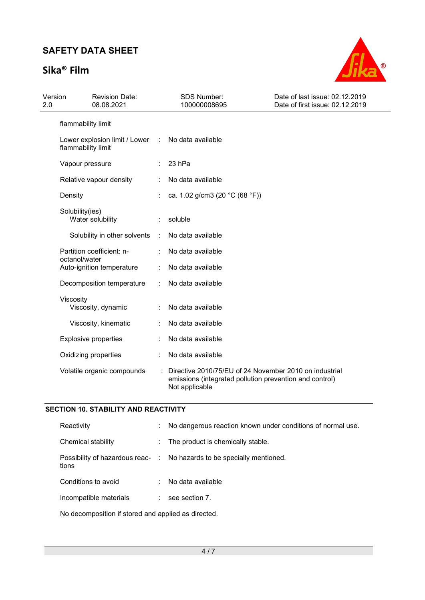## Sika® Film



| Version<br>2.0 | <b>Revision Date:</b><br>08.08.2021                 |   | <b>SDS Number:</b><br>100000008695                                                                                                  | Date of last issue: 02.12.2019<br>Date of first issue: 02.12.2019 |
|----------------|-----------------------------------------------------|---|-------------------------------------------------------------------------------------------------------------------------------------|-------------------------------------------------------------------|
|                | flammability limit                                  |   |                                                                                                                                     |                                                                   |
|                | Lower explosion limit / Lower<br>flammability limit | ÷ | No data available                                                                                                                   |                                                                   |
|                | Vapour pressure                                     |   | 23 hPa                                                                                                                              |                                                                   |
|                | Relative vapour density                             |   | No data available                                                                                                                   |                                                                   |
|                | Density                                             |   | ca. 1.02 g/cm3 (20 °C (68 °F))                                                                                                      |                                                                   |
|                | Solubility(ies)<br>Water solubility                 |   | soluble                                                                                                                             |                                                                   |
|                | Solubility in other solvents                        | ÷ | No data available                                                                                                                   |                                                                   |
|                | Partition coefficient: n-                           |   | No data available                                                                                                                   |                                                                   |
|                | octanol/water<br>Auto-ignition temperature          |   | No data available                                                                                                                   |                                                                   |
|                | Decomposition temperature                           |   | No data available                                                                                                                   |                                                                   |
|                | Viscosity<br>Viscosity, dynamic                     |   | No data available                                                                                                                   |                                                                   |
|                | Viscosity, kinematic                                |   | No data available                                                                                                                   |                                                                   |
|                | <b>Explosive properties</b>                         |   | No data available                                                                                                                   |                                                                   |
|                | Oxidizing properties                                |   | No data available                                                                                                                   |                                                                   |
|                | Volatile organic compounds                          |   | Directive 2010/75/EU of 24 November 2010 on industrial<br>emissions (integrated pollution prevention and control)<br>Not applicable |                                                                   |

### SECTION 10. STABILITY AND REACTIVITY

| Reactivity                                | ÷         | No dangerous reaction known under conditions of normal use. |
|-------------------------------------------|-----------|-------------------------------------------------------------|
| Chemical stability                        | ÷.        | The product is chemically stable.                           |
| Possibility of hazardous reac- :<br>tions |           | No hazards to be specially mentioned.                       |
| Conditions to avoid                       | $\bullet$ | No data available                                           |
| Incompatible materials                    | ÷         | see section 7.                                              |
|                                           |           |                                                             |

No decomposition if stored and applied as directed.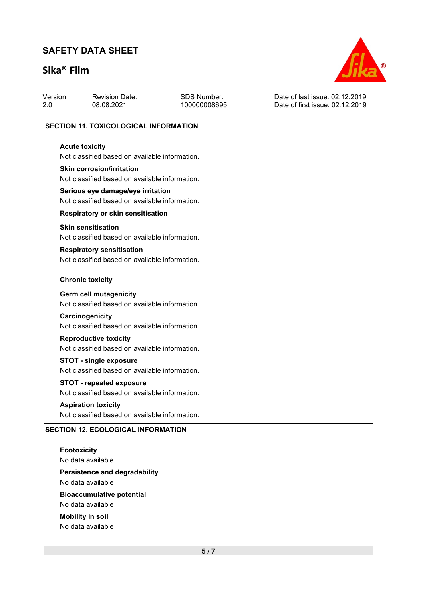## Sika® Film



| Version | <b>Revision Date:</b> | SDS Number:  | Date of last issue: 02.12.2019  |
|---------|-----------------------|--------------|---------------------------------|
| 2.0     | 08.08.2021            | 100000008695 | Date of first issue: 02.12.2019 |
|         |                       |              |                                 |

#### SECTION 11. TOXICOLOGICAL INFORMATION

#### Acute toxicity

Not classified based on available information.

#### Skin corrosion/irritation

Not classified based on available information.

# Serious eye damage/eye irritation

Not classified based on available information.

### Respiratory or skin sensitisation

#### Skin sensitisation

Not classified based on available information.

### Respiratory sensitisation

Not classified based on available information.

#### Chronic toxicity

#### Germ cell mutagenicity

Not classified based on available information.

#### **Carcinogenicity**

Not classified based on available information.

## Reproductive toxicity

Not classified based on available information.

#### STOT - single exposure

Not classified based on available information.

## STOT - repeated exposure

Not classified based on available information.

#### Aspiration toxicity

Not classified based on available information.

#### SECTION 12. ECOLOGICAL INFORMATION

**Ecotoxicity** No data available

Persistence and degradability No data available

Bioaccumulative potential

No data available

Mobility in soil No data available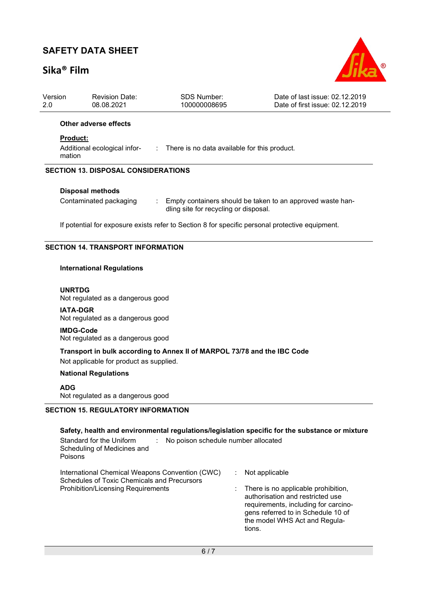## Sika® Film



| Version<br>2.0                             | <b>Revision Date:</b><br>08.08.2021                                                                                           | <b>SDS Number:</b><br>100000008695 | Date of last issue: 02.12.2019<br>Date of first issue: 02.12.2019 |  |  |  |  |
|--------------------------------------------|-------------------------------------------------------------------------------------------------------------------------------|------------------------------------|-------------------------------------------------------------------|--|--|--|--|
|                                            | Other adverse effects                                                                                                         |                                    |                                                                   |  |  |  |  |
|                                            | Product:                                                                                                                      |                                    |                                                                   |  |  |  |  |
|                                            | Additional ecological infor- : There is no data available for this product.<br>mation                                         |                                    |                                                                   |  |  |  |  |
| <b>SECTION 13. DISPOSAL CONSIDERATIONS</b> |                                                                                                                               |                                    |                                                                   |  |  |  |  |
|                                            | <b>Disposal methods</b>                                                                                                       |                                    |                                                                   |  |  |  |  |
|                                            | Contaminated packaging<br>Empty containers should be taken to an approved waste han-<br>dling site for recycling or disposal. |                                    |                                                                   |  |  |  |  |
|                                            | If potential for exposure exists refer to Section 8 for specific personal protective equipment.                               |                                    |                                                                   |  |  |  |  |
| <b>SECTION 14. TRANSPORT INFORMATION</b>   |                                                                                                                               |                                    |                                                                   |  |  |  |  |
|                                            | <b>International Regulations</b>                                                                                              |                                    |                                                                   |  |  |  |  |
|                                            | <b>UNRTDG</b><br>Not regulated as a dangerous good                                                                            |                                    |                                                                   |  |  |  |  |
|                                            | <b>IATA-DGR</b><br>Not regulated as a dangerous good                                                                          |                                    |                                                                   |  |  |  |  |

IMDG-Code Not regulated as a dangerous good

Transport in bulk according to Annex II of MARPOL 73/78 and the IBC Code

Not applicable for product as supplied.

### National Regulations

### ADG

Not regulated as a dangerous good

## SECTION 15. REGULATORY INFORMATION

| Safety, health and environmental regulations/legislation specific for the substance or mixture            |                                                                                                                                                                                                        |
|-----------------------------------------------------------------------------------------------------------|--------------------------------------------------------------------------------------------------------------------------------------------------------------------------------------------------------|
| No poison schedule number allocated<br>Standard for the Uniform<br>Scheduling of Medicines and<br>Poisons |                                                                                                                                                                                                        |
| International Chemical Weapons Convention (CWC)<br>Schedules of Toxic Chemicals and Precursors            | Not applicable                                                                                                                                                                                         |
| <b>Prohibition/Licensing Requirements</b>                                                                 | There is no applicable prohibition,<br>t.<br>authorisation and restricted use<br>requirements, including for carcino-<br>gens referred to in Schedule 10 of<br>the model WHS Act and Regula-<br>tions. |